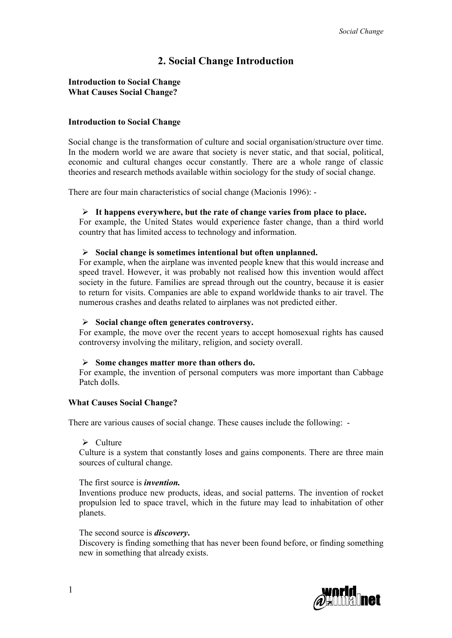# **2. Social Change Introduction**

## **Introduction to Social Change What Causes Social Change?**

### **Introduction to Social Change**

Social change is the transformation of culture and social organisation/structure over time. In the modern world we are aware that society is never static, and that social, political, economic and cultural changes occur constantly. There are a whole range of classic theories and research methods available within sociology for the study of social change.

There are four main characteristics of social change (Macionis 1996): -

#### **It happens everywhere, but the rate of change varies from place to place.**

For example, the United States would experience faster change, than a third world country that has limited access to technology and information.

## **Social change is sometimes intentional but often unplanned.**

For example, when the airplane was invented people knew that this would increase and speed travel. However, it was probably not realised how this invention would affect society in the future. Families are spread through out the country, because it is easier to return for visits. Companies are able to expand worldwide thanks to air travel. The numerous crashes and deaths related to airplanes was not predicted either.

#### **Social change often generates controversy.**

For example, the move over the recent years to accept homosexual rights has caused controversy involving the military, religion, and society overall.

## **Some changes matter more than others do.**

For example, the invention of personal computers was more important than Cabbage Patch dolls.

## **What Causes Social Change?**

There are various causes of social change. These causes include the following: -

#### $\triangleright$  Culture

Culture is a system that constantly loses and gains components. There are three main sources of cultural change.

#### The first source is *invention.*

Inventions produce new products, ideas, and social patterns. The invention of rocket propulsion led to space travel, which in the future may lead to inhabitation of other planets.

#### The second source is *discovery***.**

Discovery is finding something that has never been found before, or finding something new in something that already exists.

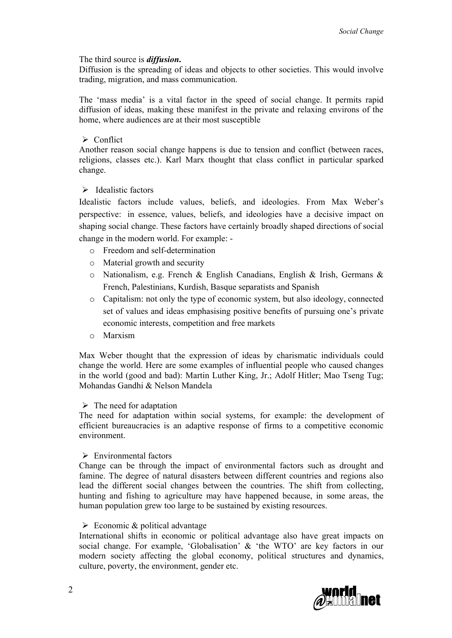## The third source is *diffusion***.**

Diffusion is the spreading of ideas and objects to other societies. This would involve trading, migration, and mass communication.

The 'mass media' is a vital factor in the speed of social change. It permits rapid diffusion of ideas, making these manifest in the private and relaxing environs of the home, where audiences are at their most susceptible

## $\triangleright$  Conflict

Another reason social change happens is due to tension and conflict (between races, religions, classes etc.). Karl Marx thought that class conflict in particular sparked change.

# $\triangleright$  Idealistic factors

Idealistic factors include values, beliefs, and ideologies. From Max Weber's perspective: in essence, values, beliefs, and ideologies have a decisive impact on shaping social change. These factors have certainly broadly shaped directions of social change in the modern world. For example: -

- o Freedom and self-determination
- o Material growth and security
- o Nationalism, e.g. French & English Canadians, English & Irish, Germans & French, Palestinians, Kurdish, Basque separatists and Spanish
- o Capitalism: not only the type of economic system, but also ideology, connected set of values and ideas emphasising positive benefits of pursuing one's private economic interests, competition and free markets
- o Marxism

Max Weber thought that the expression of ideas by charismatic individuals could change the world. Here are some examples of influential people who caused changes in the world (good and bad): [Martin Luther King, Jr.;](http://www.nps.gov/malu/) [Adolf Hitler;](http://holocaust.miningco.com/msub29.htm) [Mao Tseng Tug;](http://www.indiagov.org/Gandhi/intro.htm)  [Mohandas Gandhi](http://www.indiagov.org/Gandhi/intro.htm) & Nelson Mandela

### $\triangleright$  The need for adaptation

The need for adaptation within social systems, for example: the development of efficient bureaucracies is an adaptive response of firms to a competitive economic environment.

### $\triangleright$  Environmental factors

Change can be through the impact of environmental factors such as drought and famine. The degree of natural disasters between different countries and regions also lead the different social changes between the countries. The shift from collecting, hunting and fishing to agriculture may have happened because, in some areas, the human population grew too large to be sustained by existing resources.

### $\triangleright$  Economic & political advantage

International shifts in economic or political advantage also have great impacts on social change. For example, 'Globalisation' & 'the WTO' are key factors in our modern society affecting the global economy, political structures and dynamics, culture, poverty, the environment, gender etc.

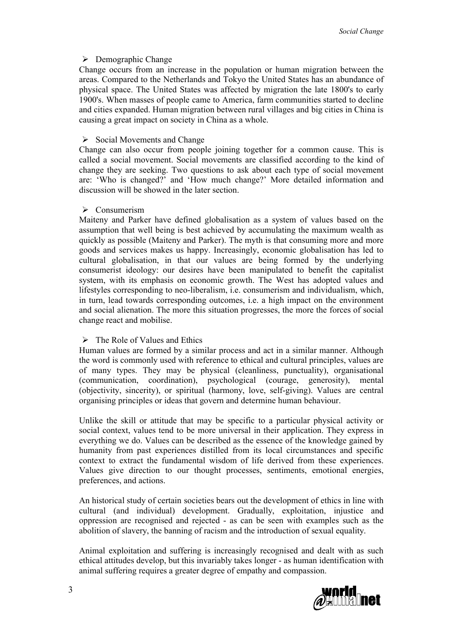## $\triangleright$  Demographic Change

Change occurs from an increase in the population or human migration between the areas. Compared to the Netherlands and Tokyo the United States has an abundance of physical space. The United States was affected by migration the late 1800's to early 1900's. When masses of people came to America, farm communities started to decline and cities expanded. Human migration between rural villages and big cities in China is causing a great impact on society in China as a whole.

## $\triangleright$  Social Movements and Change

Change can also occur from people joining together for a common cause. This is called a social movement. Social movements are classified according to the kind of change they are seeking. Two questions to ask about each type of social movement are: 'Who is changed?' and 'How much change?' More detailed information and discussion will be showed in the later section.

### $\triangleright$  Consumerism

Maiteny and Parker have defined globalisation as a system of values based on the assumption that well being is best achieved by accumulating the maximum wealth as quickly as possible (Maiteny and Parker). The myth is that consuming more and more goods and services makes us happy. Increasingly, economic globalisation has led to cultural globalisation, in that our values are being formed by the underlying consumerist ideology: our desires have been manipulated to benefit the capitalist system, with its emphasis on economic growth. The West has adopted values and lifestyles corresponding to neo-liberalism, i.e. consumerism and individualism, which, in turn, lead towards corresponding outcomes, i.e. a high impact on the environment and social alienation. The more this situation progresses, the more the forces of social change react and mobilise.

# $\triangleright$  The Role of Values and Ethics

Human values are formed by a similar process and act in a similar manner. Although the word is commonly used with reference to ethical and cultural principles, values are of many types. They may be physical (cleanliness, punctuality), organisational (communication, coordination), psychological (courage, generosity), mental (objectivity, sincerity), or spiritual (harmony, love, self-giving). Values are central organising principles or ideas that govern and determine human behaviour.

Unlike the skill or attitude that may be specific to a particular physical activity or social context, values tend to be more universal in their application. They express in everything we do. Values can be described as the essence of the knowledge gained by humanity from past experiences distilled from its local circumstances and specific context to extract the fundamental wisdom of life derived from these experiences. Values give direction to our thought processes, sentiments, emotional energies, preferences, and actions.

An historical study of certain societies bears out the development of ethics in line with cultural (and individual) development. Gradually, exploitation, injustice and oppression are recognised and rejected - as can be seen with examples such as the abolition of slavery, the banning of racism and the introduction of sexual equality.

Animal exploitation and suffering is increasingly recognised and dealt with as such ethical attitudes develop, but this invariably takes longer - as human identification with animal suffering requires a greater degree of empathy and compassion.

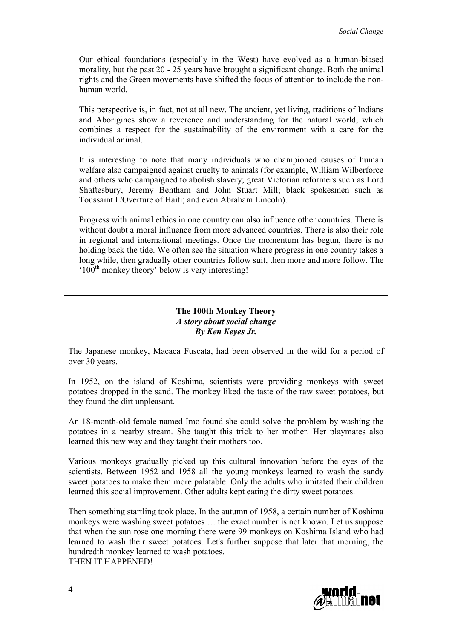Our ethical foundations (especially in the West) have evolved as a human-biased morality, but the past 20 - 25 years have brought a significant change. Both the animal rights and the Green movements have shifted the focus of attention to include the nonhuman world.

This perspective is, in fact, not at all new. The ancient, yet living, traditions of Indians and Aborigines show a reverence and understanding for the natural world, which combines a respect for the sustainability of the environment with a care for the individual animal.

It is interesting to note that many individuals who championed causes of human welfare also campaigned against cruelty to animals (for example, William Wilberforce and others who campaigned to abolish slavery; great Victorian reformers such as Lord Shaftesbury, Jeremy Bentham and John Stuart Mill; black spokesmen such as Toussaint L'Overture of Haiti; and even Abraham Lincoln).

Progress with animal ethics in one country can also influence other countries. There is without doubt a moral influence from more advanced countries. There is also their role in regional and international meetings. Once the momentum has begun, there is no holding back the tide. We often see the situation where progress in one country takes a long while, then gradually other countries follow suit, then more and more follow. The  $100<sup>th</sup>$  monkey theory' below is very interesting!

# **The 100th Monkey Theory** *A story about social change By Ken Keyes Jr.*

The Japanese monkey, Macaca Fuscata, had been observed in the wild for a period of over 30 years.

In 1952, on the island of Koshima, scientists were providing monkeys with sweet potatoes dropped in the sand. The monkey liked the taste of the raw sweet potatoes, but they found the dirt unpleasant.

An 18-month-old female named Imo found she could solve the problem by washing the potatoes in a nearby stream. She taught this trick to her mother. Her playmates also learned this new way and they taught their mothers too.

Various monkeys gradually picked up this cultural innovation before the eyes of the scientists. Between 1952 and 1958 all the young monkeys learned to wash the sandy sweet potatoes to make them more palatable. Only the adults who imitated their children learned this social improvement. Other adults kept eating the dirty sweet potatoes.

Then something startling took place. In the autumn of 1958, a certain number of Koshima monkeys were washing sweet potatoes … the exact number is not known. Let us suppose that when the sun rose one morning there were 99 monkeys on Koshima Island who had learned to wash their sweet potatoes. Let's further suppose that later that morning, the hundredth monkey learned to wash potatoes.

THEN IT HAPPENED!

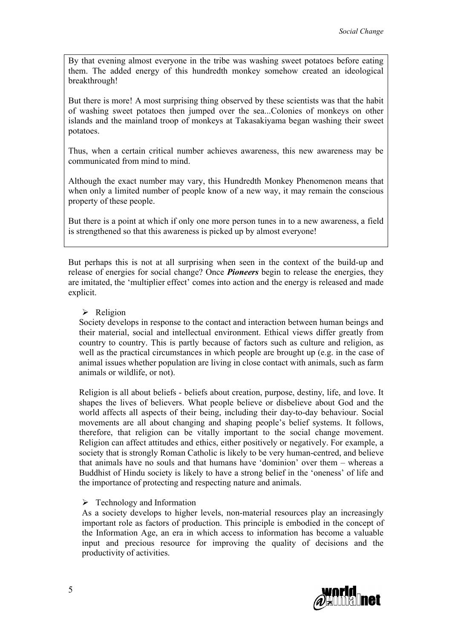By that evening almost everyone in the tribe was washing sweet potatoes before eating them. The added energy of this hundredth monkey somehow created an ideological breakthrough!

But there is more! A most surprising thing observed by these scientists was that the habit of washing sweet potatoes then jumped over the sea...Colonies of monkeys on other islands and the mainland troop of monkeys at Takasakiyama began washing their sweet potatoes.

Thus, when a certain critical number achieves awareness, this new awareness may be communicated from mind to mind.

Although the exact number may vary, this Hundredth Monkey Phenomenon means that when only a limited number of people know of a new way, it may remain the conscious property of these people.

But there is a point at which if only one more person tunes in to a new awareness, a field is strengthened so that this awareness is picked up by almost everyone!

But perhaps this is not at all surprising when seen in the context of the build-up and release of energies for social change? Once *Pioneers* begin to release the energies, they are imitated, the 'multiplier effect' comes into action and the energy is released and made explicit.

### $\triangleright$  Religion

Society develops in response to the contact and interaction between human beings and their material, social and intellectual environment. Ethical views differ greatly from country to country. This is partly because of factors such as culture and religion, as well as the practical circumstances in which people are brought up (e.g. in the case of animal issues whether population are living in close contact with animals, such as farm animals or wildlife, or not).

Religion is all about beliefs - beliefs about creation, purpose, destiny, life, and love. It shapes the lives of believers. What people believe or disbelieve about God and the world affects all aspects of their being, including their day-to-day behaviour. Social movements are all about changing and shaping people's belief systems. It follows, therefore, that religion can be vitally important to the social change movement. Religion can affect attitudes and ethics, either positively or negatively. For example, a society that is strongly Roman Catholic is likely to be very human-centred, and believe that animals have no souls and that humans have 'dominion' over them – whereas a Buddhist of Hindu society is likely to have a strong belief in the 'oneness' of life and the importance of protecting and respecting nature and animals.

### $\triangleright$  Technology and Information

As a society develops to higher levels, non-material resources play an increasingly important role as factors of production. This principle is embodied in the concept of the Information Age, an era in which access to information has become a valuable input and precious resource for improving the quality of decisions and the productivity of activities.